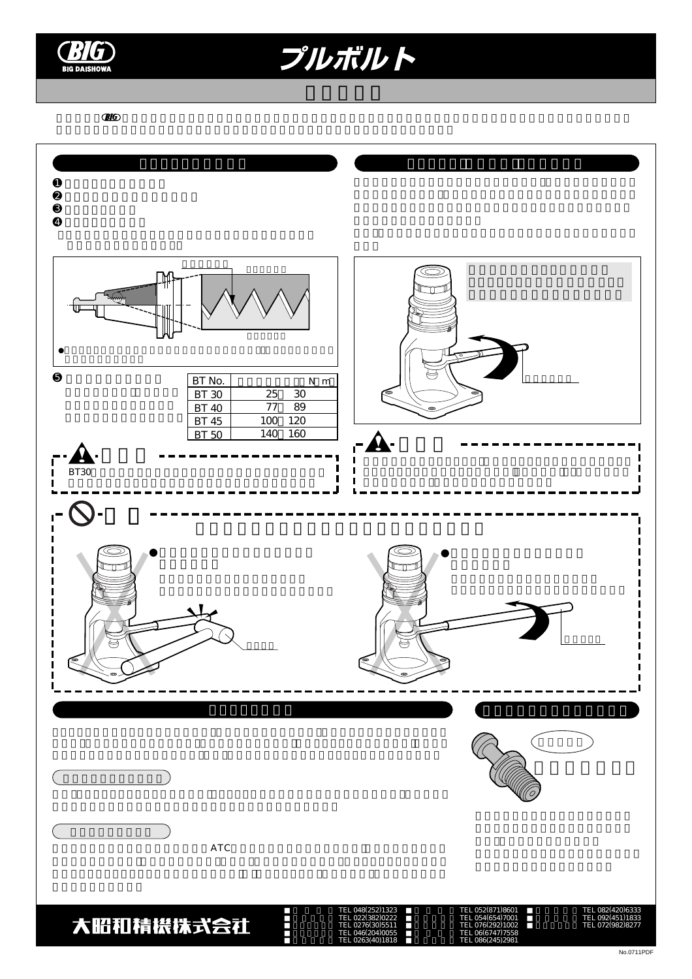

プルボルト

 $\overline{C}$  **DIG**